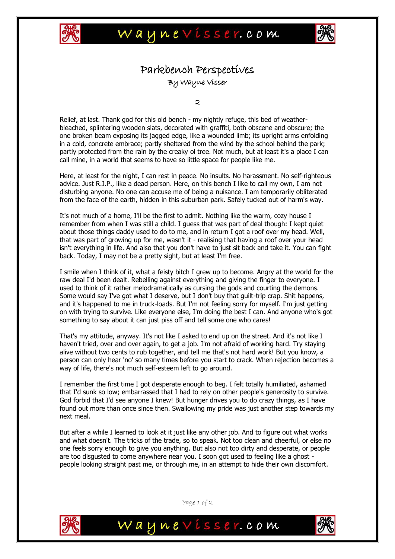



## Parkbench Perspectives By Wayne Visser

2

Relief, at last. Thank god for this old bench - my nightly refuge, this bed of weatherbleached, splintering wooden slats, decorated with graffiti, both obscene and obscure; the one broken beam exposing its jagged edge, like a wounded limb; its upright arms enfolding in a cold, concrete embrace; partly sheltered from the wind by the school behind the park; partly protected from the rain by the creaky ol tree. Not much, but at least it's a place I can call mine, in a world that seems to have so little space for people like me.

Here, at least for the night, I can rest in peace. No insults. No harassment. No self-righteous advice. Just R.I.P., like a dead person. Here, on this bench I like to call my own, I am not disturbing anyone. No one can accuse me of being a nuisance. I am temporarily obliterated from the face of the earth, hidden in this suburban park. Safely tucked out of harm's way.

It's not much of a home, I'll be the first to admit. Nothing like the warm, cozy house I remember from when I was still a child. I guess that was part of deal though: I kept quiet about those things daddy used to do to me, and in return I got a roof over my head. Well, that was part of growing up for me, wasn't it - realising that having a roof over your head isn't everything in life. And also that you don't have to just sit back and take it. You can fight back. Today, I may not be a pretty sight, but at least I'm free.

I smile when I think of it, what a feisty bitch I grew up to become. Angry at the world for the raw deal I'd been dealt. Rebelling against everything and giving the finger to everyone. I used to think of it rather melodramatically as cursing the gods and courting the demons. Some would say I've got what I deserve, but I don't buy that guilt-trip crap. Shit happens, and it's happened to me in truck-loads. But I'm not feeling sorry for myself. I'm just getting on with trying to survive. Like everyone else, I'm doing the best I can. And anyone who's got something to say about it can just piss off and tell some one who cares!

That's my attitude, anyway. It's not like I asked to end up on the street. And it's not like I haven't tried, over and over again, to get a job. I'm not afraid of working hard. Try staying alive without two cents to rub together, and tell me that's not hard work! But you know, a person can only hear 'no' so many times before you start to crack. When rejection becomes a way of life, there's not much self-esteem left to go around.

I remember the first time I got desperate enough to beg. I felt totally humiliated, ashamed that I'd sunk so low; embarrassed that I had to rely on other people's generosity to survive. God forbid that I'd see anyone I knew! But hunger drives you to do crazy things, as I have found out more than once since then. Swallowing my pride was just another step towards my next meal.

But after a while I learned to look at it just like any other job. And to figure out what works and what doesn't. The tricks of the trade, so to speak. Not too clean and cheerful, or else no one feels sorry enough to give you anything. But also not too dirty and desperate, or people are too disgusted to come anywhere near you. I soon got used to feeling like a ghost people looking straight past me, or through me, in an attempt to hide their own discomfort.



Page 1 of 2